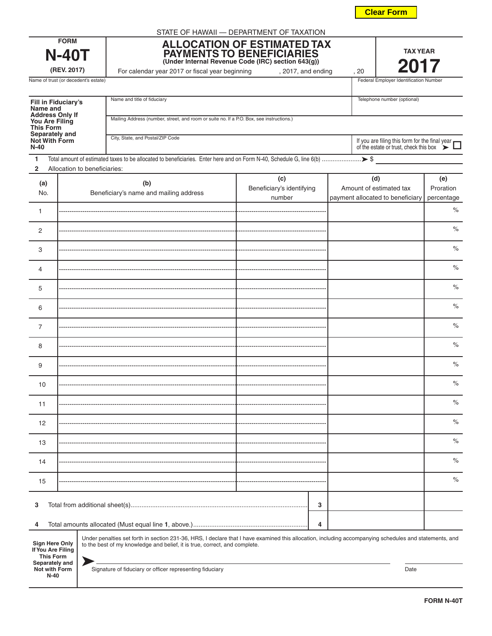**FORM N-40T**

| Name of trust (or decedent's estate)                                                                                               |  |                              | Federal Employer Identification Number                                                                                                                                                                                               |                                            |  |                                                                                                 |                                |  |
|------------------------------------------------------------------------------------------------------------------------------------|--|------------------------------|--------------------------------------------------------------------------------------------------------------------------------------------------------------------------------------------------------------------------------------|--------------------------------------------|--|-------------------------------------------------------------------------------------------------|--------------------------------|--|
| Fill in Fiduciary's<br>Name and<br><b>Address Only If</b><br>You Are Filing<br><b>This Form</b><br>Separately and<br>Not With Form |  |                              | Name and title of fiduciary<br>Mailing Address (number, street, and room or suite no. If a P.O. Box, see instructions.)                                                                                                              |                                            |  | Telephone number (optional)                                                                     |                                |  |
|                                                                                                                                    |  |                              | City, State, and Postal/ZIP Code                                                                                                                                                                                                     |                                            |  |                                                                                                 |                                |  |
| $N-40$                                                                                                                             |  |                              |                                                                                                                                                                                                                                      |                                            |  | If you are filing this form for the final year<br>of the estate or trust, check this box $\sum$ |                                |  |
| 1<br>$\mathbf{2}$                                                                                                                  |  | Allocation to beneficiaries: |                                                                                                                                                                                                                                      |                                            |  |                                                                                                 |                                |  |
| (a)<br>No.                                                                                                                         |  |                              | (b)<br>Beneficiary's name and mailing address                                                                                                                                                                                        | (c)<br>Beneficiary's identifying<br>number |  | (d)<br>Amount of estimated tax<br>payment allocated to beneficiary                              | (e)<br>Proration<br>percentage |  |
| 1                                                                                                                                  |  |                              |                                                                                                                                                                                                                                      |                                            |  |                                                                                                 | $\%$                           |  |
| 2                                                                                                                                  |  |                              |                                                                                                                                                                                                                                      |                                            |  |                                                                                                 | $\%$                           |  |
| 3                                                                                                                                  |  |                              |                                                                                                                                                                                                                                      |                                            |  |                                                                                                 | $\%$                           |  |
| 4                                                                                                                                  |  |                              |                                                                                                                                                                                                                                      |                                            |  |                                                                                                 | $\%$                           |  |
| 5                                                                                                                                  |  |                              |                                                                                                                                                                                                                                      |                                            |  |                                                                                                 | $\%$                           |  |
| 6                                                                                                                                  |  |                              |                                                                                                                                                                                                                                      |                                            |  |                                                                                                 | $\%$                           |  |
| $\overline{7}$                                                                                                                     |  |                              |                                                                                                                                                                                                                                      |                                            |  |                                                                                                 | $\%$                           |  |
| 8                                                                                                                                  |  |                              |                                                                                                                                                                                                                                      |                                            |  |                                                                                                 | $\%$                           |  |
| 9                                                                                                                                  |  |                              |                                                                                                                                                                                                                                      |                                            |  |                                                                                                 | $\%$                           |  |
| 10                                                                                                                                 |  |                              |                                                                                                                                                                                                                                      |                                            |  |                                                                                                 | $\%$                           |  |
| 11                                                                                                                                 |  |                              |                                                                                                                                                                                                                                      |                                            |  |                                                                                                 | $\%$                           |  |
| 12                                                                                                                                 |  |                              |                                                                                                                                                                                                                                      |                                            |  |                                                                                                 | $\%$                           |  |
| 13                                                                                                                                 |  |                              | ----------------------------                                                                                                                                                                                                         |                                            |  |                                                                                                 | $\%$                           |  |
| 14                                                                                                                                 |  |                              |                                                                                                                                                                                                                                      |                                            |  |                                                                                                 | $\%$                           |  |
| 15                                                                                                                                 |  |                              |                                                                                                                                                                                                                                      |                                            |  |                                                                                                 | $\%$                           |  |
| 3                                                                                                                                  |  |                              |                                                                                                                                                                                                                                      | 3                                          |  |                                                                                                 |                                |  |
| 4<br>4                                                                                                                             |  |                              |                                                                                                                                                                                                                                      |                                            |  |                                                                                                 |                                |  |
| Sign Here Only                                                                                                                     |  |                              | Under penalties set forth in section 231-36, HRS, I declare that I have examined this allocation, including accompanying schedules and statements, and<br>to the best of my knowledge and belief, it is true, correct, and complete. |                                            |  |                                                                                                 |                                |  |

**If You Are Filing** 

Signature of fiduciary or officer representing fiduciary **Date Date Date Date Date** 

| <b>FORM</b> |  |
|-------------|--|
| п           |  |

**(REV. 2017)**

| <b>Fill in Fiduciary's</b><br>Name and<br><b>Address Only If</b> | Name and title of fiduciary                                                              | Telephone number (optional)                                                                             |  |
|------------------------------------------------------------------|------------------------------------------------------------------------------------------|---------------------------------------------------------------------------------------------------------|--|
| You Are Filing<br><b>This Form</b><br>Separately and             | Mailing Address (number, street, and room or suite no. If a P.O. Box, see instructions.) |                                                                                                         |  |
| <b>Not With Form</b><br>N-40                                     | City, State, and Postal/ZIP Code                                                         | If you are filing this form for the final year $\blacksquare$<br>of the estate or trust, check this box |  |

**ALLOCATION OF ESTIMATED TAX**

For calendar year 2017 or fiscal year beginning , 2017, and ending , 20

**PAYMENTS TO BENEFICIARIES (Under Internal Revenue Code (IRC) section 643(g))**

| <b>TAX YEAR</b> |  |
|-----------------|--|
|                 |  |

**Clear Form**